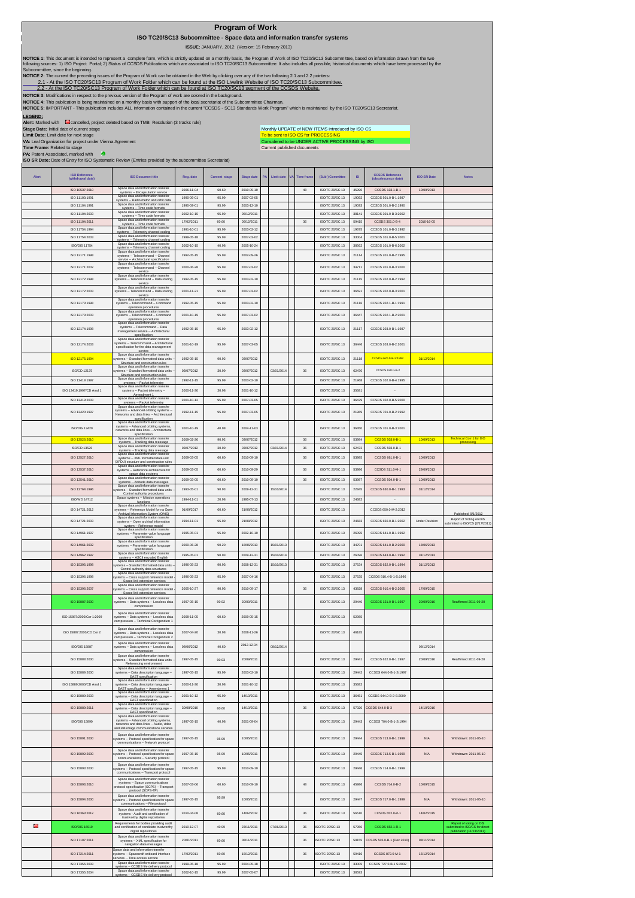## **Program of Work**

 **ISO TC20/SC13 Subcommittee - Space data and information transfer systems**

 **ISSUE:** JANUARY, 2012 (Version: 15 February 2013)

**NOTICE 1:** This document is intended to represent a complete form, which is strictly updated on a monthly basis, the Program of Work of ISO TC20/SC13 Subcommittee, based on information drawn from the two<br>following sources

**NOTICE 2:** The current the preceding issues of the Program of Work can be obtained in the Web by clicking over any of the two following 2.1 and 2.2 pointers:

2.1- At the ISO TC20/SC13 Program of Work Folder which can be found at the ISO Livelink Website of ISO TC20/SC13 Subcommittee.<br>[2.2 - A](http://cwe.ccsds.org/cmc/docs/Forms/AllItems.aspx?RootFolder=%2fcmc%2fdocs%2fISO%20TC20%2dSC13%2fISO%20TC20%2dSC13%20Meeting%20Minutes%20and%20Presentations&FolderCTID=&View=%7bD5DD30F7%2d53FC%2d45B9%2d8B93%2d709B280A475B%7d)t the ISO TC20/SC13 Program of Work Folder which can be found at ISO TC20/SC13 segment

**NOTICE 3:** Modifications in respect to the previous version of the Program of work are colored in the background. **NOTICE 4:** This publication is being maintained on a monthly basis with support of the local secretariat of the Subcommittee Chairman.

**NOTICE 5:** IMPORTANT - This publication includes ALL information contained in the current "CCSDS - SC13 Standards Work Program" which is maintained by the ISO TC20/SC13 Secretariat.

**LEGEND:**<br>Alert: Marked with Clancelled, project deleted based on TMB Resolution (3 tracks rule)

Monthly UPDATE of NEW ITEMS introduced by ISO CS To be sent to ISO CS for PROCESSING

Considered to be UNDER ACTIVE PROCESSING by ISO

Current published documents

Stage Date: Initial date of current stage<br>Limit Date: Limit date for next stage<br>VA: Leal Organization for project under Vienna Agreement<br>PA: Patent Associated, marked with<br>PA: Patent Associated, marked with<br>ISO SR Date: Da

| Alert | <b>ISO Referenc</b><br>(withdrawal date) | <b>ISO Document title</b>                                                                                                | Reg. date                | Current stage  | Stage date               | PA | Limit date | <b>Time fram</b> | (Sub-) Committee                   | ID             | <b>CCSDS Reference</b><br>(obsolescence date) | <b>ISO SR Date</b>    | <b>Notes</b>                                              |
|-------|------------------------------------------|--------------------------------------------------------------------------------------------------------------------------|--------------------------|----------------|--------------------------|----|------------|------------------|------------------------------------|----------------|-----------------------------------------------|-----------------------|-----------------------------------------------------------|
|       | ISO 10537:2010                           | Space data and information transfer<br>vstems -- Encapsulation service                                                   | 2006-11-04               | 60.60          | 2010-09-10               |    |            | 48               | ISO/TC 20/SC 13                    | 45990          | CCSDS 133.1-B-1                               | 10/09/2013            |                                                           |
|       | ISO 11103:1991                           | Space data and information transfer<br>ms - Radio metric and orbit data                                                  | 1990-09-01               | 95.99          | 2007-03-05               |    |            |                  | ISO/TC 20/SC 13                    | 19092          | CCSDS 501 0-B-1:1987                          |                       |                                                           |
|       | ISO 11104:1991                           | Space data and information transfer<br>systems -- Time code formats<br>Space data and information transfer               | 1990-09-01               | 95.99          | 2003-12-10               |    |            |                  | ISO/TC 20/SC 13                    | 19093          | CCSDS 301.0-B-2:1990                          |                       |                                                           |
|       | ISO 11104:2003<br>ISO 11104:2011         | systems - Time code formats<br>Space data and information transfer                                                       | 2002-10-15<br>17/02/2011 | 95.99<br>60.60 | 05/12/2011<br>05/12/2011 |    |            | 36               | ISO/TC 20/SC 13<br>ISO/TC 20/SC 13 | 38141<br>59415 | CCSDS 301.0-B-3:2002<br>CCSDS 301.0-B-4       | 2016-16-05            |                                                           |
|       | ISO 11754:1994                           | systems -- Time code formats<br>Space data and information transfer                                                      | 1991-10-01               | 95.99          | 2003-02-12               |    |            |                  | ISO/TC 20/SC 13                    | 19675          | CCSDS 101.0-B-3:1992                          |                       |                                                           |
|       | ISO 11754:2003                           | vstems -- Telemetry channel coding<br>Space data and information transfer<br>vstems -- Telemetry channel coding          | 1999-05-18               | 95.99          | 2007-03-02               |    |            |                  | ISO/TC 20/SC 13                    | 33004          | CCSDS 101.0-B-5:2001                          |                       |                                                           |
|       | <b>ISO/DIS 11754</b>                     | Space data and information transfer<br>stems -- Telemetry channel codin                                                  | 2002-10-15               | 40.98          | 2005-10-24               |    |            |                  | ISO/TC 20/SC 13                    | 38562          | CCSDS 101.0-B-6:2002                          |                       |                                                           |
|       | ISO 12171:1998                           | Space data and information transfer<br>systems -- Telecommand -- Channel<br>service - Architectural specification        | 1992-05-15               | 95.99          | 2002-09-26               |    |            |                  | ISO/TC 20/SC 13                    | 21114          | CCSDS 201.0-B-2:1995                          |                       |                                                           |
|       | ISO 12171:2002                           | Space data and information transfer<br>systems -- Telecommand -- Channel                                                 | 2000-06-28               | 95.99          | 2007-03-02               |    |            |                  | ISO/TC 20/SC 13                    | 34711          | CCSDS 201.0-B-3:2000                          |                       |                                                           |
|       | ISO 12172:1998                           | service<br>Space data and information transfer<br>systems -- Telecommand -- Data routing                                 | 1992-05-15               | 95.99          | 2003-02-10               |    |            |                  | <b>ISO/TC 20/SC 13</b>             | 21115          | CCSDS 202.0-B-2:1992                          |                       |                                                           |
|       |                                          | service<br>Snace data and information transfer                                                                           |                          |                |                          |    |            |                  |                                    |                |                                               |                       |                                                           |
|       | ISO 12172:2003                           | systems -- Telecommand -- Data routing<br>service                                                                        | 2001-11-21               | 95.99          | 2007-03-02               |    |            |                  | <b>ISO/TC 20/SC 13</b>             | 36591          | CCSDS 202.0-B-3:2001                          |                       |                                                           |
|       | ISO 12173:1998                           | Space data and information transfe<br>systems -- Telecommand -- Command<br>operation procedures                          | 1992-05-15               | 95.99          | 2003-02-10               |    |            |                  | ISO/TC 20/SC 13                    | 21116          | CCSDS 202.1-B-1:1991                          |                       |                                                           |
|       | ISO 12173:2003                           | Space data and information transfer<br>systems -- Telecommand -- Command                                                 | 2001-10-19               | 95.99          | 2007-03-02               |    |            |                  | ISO/TC 20/SC 13                    | 36447          | CCSDS 202.1-B-2:2001                          |                       |                                                           |
|       | ISO 12174:1998                           | operation procedures<br>Space data and information transfer<br>systems -- Telecommand -- Data                            |                          | 95.99          | 2003-02-12               |    |            |                  | ISO/TC 20/SC 13                    | 21117          | CCSDS 203.0-B-1:1987                          |                       |                                                           |
|       |                                          | management service -- Architectural<br>specification                                                                     | 1992-05-15               |                |                          |    |            |                  |                                    |                |                                               |                       |                                                           |
|       | ISO 12174:2003                           | Space data and information transfer<br>systems -- Telecommand -- Architectura<br>specification for the data management   | 2001-10-19               | 95.99          | 2007-03-05               |    |            |                  | ISO/TC 20/SC 13                    | 36446          | CCSDS 203.0-B-2:2001                          |                       |                                                           |
|       |                                          | service<br>Space data and information transfer                                                                           |                          |                |                          |    |            |                  |                                    |                |                                               |                       |                                                           |
|       | ISO 12175:1994                           | systems -- Standard formatted data units<br>Structure and construction rules<br>Space data and information transfer      | 1992-05-15               | 90.92          | 03/07/2012               |    |            |                  | ISO/TC 20/SC 13                    | 21118          | CCSDS 620.0-B-2:1992                          | 31/12/2014            |                                                           |
|       | ISO/CD 12175                             | stems -- Standard formatted data units<br>Structure and construction rules                                               | 03/07/2012               | 30.99          | 03/07/2012               |    | 03/01/2014 | 36               | ISO/TC 20/SC 13                    | 62470          | CCSDS 620.0-B-2                               |                       |                                                           |
|       | ISO 13419:1997                           | Space data and information transfer<br>systems -- Packet telemetry<br>Space data and information transfer                | 1992-11-15               | 95.99          | 2003-02-10               |    |            |                  | ISO/TC 20/SC 13                    | 21968          | CCSDS 102.0-B-4:1995                          |                       |                                                           |
|       | ISO 13419:1997/CD Amd 1                  | systems -- Packet telemetry --<br>Amendment 1                                                                            | 2000-11-30               | 30.98          | 2001-10-12               |    |            |                  | <b>ISO/TC 20/SC 13</b>             | 35681          |                                               |                       |                                                           |
|       | ISO 13419:2003                           | Space data and information transfer<br>systems -- Packet telemetry<br>Space data and information transfer                | 2001-10-12               | 95.99          | 2007-03-05               |    |            |                  | ISO/TC 20/SC 13                    | 36479          | CCSDS 102.0-B-5:2000                          |                       |                                                           |
|       | ISO 13420-1997                           | systems -- Advanced orbiting systems -<br>Networks and data links - Architectural                                        | 1992-11-15               | 95.99          | 2007-03-05               |    |            |                  | ISO/TC 20/SC 13                    | 21969          | CCSDS 701.0-B-2:1992                          |                       |                                                           |
|       |                                          | specification<br>Space data and information transfer<br>systems -- Advanced orbiting systems,                            |                          |                |                          |    |            |                  |                                    |                |                                               |                       |                                                           |
|       | <b>ISO/DIS 13420</b>                     | networks and data links -- Architectural<br>specification                                                                | 2001-10-19               | 40.98          | 2004-11-03               |    |            |                  | ISO/TC 20/SC 13                    | 36450          | CCSDS 701.0-B-3:2001                          |                       |                                                           |
|       | ISO 13526:2010                           | Space data and information transfer<br>systems -- Tracking data message<br>Space data and information transfer           | 2009-02-26               | 90.92          | 03/07/2012               |    |            | 36               | ISO/TC 20/SC 13                    | 53984          | CCSDS 503.0-B-1                               | 10/09/2013            | <b>Technical Corr 1 for ISO</b>                           |
|       | ISO/CD 13526                             | systems -- Tracking data message<br>Space data and information transfer                                                  | 03/07/2012               | 30.99          | 03/07/2012               |    | 03/01/201- | 36               | ISO/TC 20/SC 13                    | 62472          | CCSDS 503 0-B-1                               |                       |                                                           |
|       | ISO 13527:2010                           | systems -- XML formatted data unit<br>(XFDU) structure and construction rules                                            | 2009-03-05               | 60.60          | 2010-09-10               |    |            | 36               | ISO/TC 20/SC 13                    | 53985          | CCSDS 661.0-B-1                               | 10/09/2013            |                                                           |
|       | ISO 13537:2010                           | Space data and information transfer<br>systems -- Reference architecture for<br>space data systems                       | 2009-03-05               | 60.60          | 2010-09-29               |    |            | 36               | ISO/TC 20/SC 13                    | 53986          | CCSDS 311.0-M-1                               | 29/09/2013            |                                                           |
|       | ISO 13541:2010                           | Space data and information transfer<br>systems -- Attitude data messages                                                 | 2009-03-05               | 60.60          | 2010-09-10               |    |            | 36               | ISO/TC 20/SC 13                    | 53987          | CCSDS 504.0-B-1                               | 10/09/2013            |                                                           |
|       | ISO 13764:1996                           | Space data and information transfer<br>ystems -- Standard formatted data units<br>Control authority procedures           | 1993-05-01               | 90.93          | 2009-12-31               |    | 15/10/201  |                  | ISO/TC 20/SC 13                    | 22845          | CCSDS 630.0-B-1:1993                          | 31/12/2014            |                                                           |
|       | ISO/WD 14712                             | Space systems -- Mission operations<br>functions                                                                         | 1994-11-01               | 20.98          | 1995-07-13               |    |            |                  | ISO/TC 20/SC 13                    | 24682          |                                               |                       |                                                           |
|       | ISO 14721:2012                           | Space data and information transfer<br>systems -- Reference Model for na Oper<br>Archival Information System (OAIS)      | 01/09/2017               | 60.60          | 21/08/2012               |    |            |                  | ISO/TC 20/SC 13                    |                | CCSDS 650.0-M-2:2012                          |                       | Published: 9/1/2012                                       |
|       | ISO 14721:2003                           | Space data and information transfer<br>systems -- Open archival information                                              | 1994-11-01               | 95.99          | 21/08/2012               |    |            |                  | ISO/TC 20/SC 13                    | 24683          | CCSDS 650.0-B-1:2002                          | <b>Under Revision</b> | Report of Voting on DIS<br>nitted to ISO/CS (2/17/2011)   |
|       | ISO 14961:1997                           | system -- Reference model<br>Space data and information transfer<br>systems -- Parameter value language                  | 1995-05-01               | 95.99          | 2002-10-10               |    |            |                  | ISO/TC 20/SC 13                    | 2609f          | CCSDS 641.0-B-1:1992                          |                       |                                                           |
|       |                                          | specification<br>Space data and information transfer                                                                     |                          |                |                          |    |            |                  |                                    |                |                                               |                       |                                                           |
|       | ISO 14961:2002                           | systems -- Parameter value language<br>specification<br>Space data and information transfer                              | 2000-06-28               | 90.20          | 18/06/2013               |    | 15/01/2013 |                  | ISO/TC 20/SC 13                    | 34701          | CCSDS 641.0-B-2:2000                          | 18/06/2013            |                                                           |
|       | ISO 14962:1997                           | systems - ASCII encoded English<br>Space data and information transfer                                                   | 1995-05-01               | 90.93          | 2009-12-31               |    | 15/10/2014 |                  | ISO/TC 20/SC 13                    | 26096          | CCSDS 643.0-B-1:1992                          | 31/12/2013            |                                                           |
|       | ISO 15395:1998                           | stems -- Standard formatted data units<br>Control authority data structures<br>Space data and information transfer       | 1996-05-23               | 90.93          | 2008-12-31               |    | 15/10/2013 |                  | ISO/TC 20/SC 13                    | 27534          | CCSDS 632.0-B-1:1994                          | 31/12/2013            |                                                           |
|       | ISO 15396:1998                           | stems - Cross support reference model<br>- Soace link extension services                                                 | 1996-05-23               | 95.99          | 2007-04-16               |    |            |                  | <b>ISO/TC 20/SC 13</b>             | 27535          | CCSDS 910.4-B-1-S:1996                        |                       |                                                           |
|       | ISO 15396:2007                           | Space data and information transfer<br>ystems -- Cross support reference model                                           | 2005-10-27               | 90.93          | 2010-09-17               |    |            | 36               | <b>ISO/TC 20/SC 13</b>             | 43828          | CCSDS 910.4-B-2:2005                          | 17/09/2015            |                                                           |
|       | ISO 15887:2000                           | Space link extension service<br>Space data and information transfer<br>systems -- Data systems -- Lossless data          | 1997-05-15               | 90.92          | 20/09/2011               |    |            |                  | ISO/TC 20/SC 13                    | 29440          | CCSDS 121.0-B-1:1997                          | 20/09/2016            | Reaffirmed 2011-09-20                                     |
|       |                                          | compression                                                                                                              |                          |                |                          |    |            |                  |                                    |                |                                               |                       |                                                           |
|       | ISO 15887:2000/Cor 1:2009                | Space data and information transfer<br>vstems -- Data systems -- Lossless data<br>ompression -- Technical Corrigendum 1  | 2008-11-05               | 60.60          | 2009-05-15               |    |            |                  | ISO/TC 20/SC 13                    | 52985          |                                               |                       |                                                           |
|       |                                          | Space data and information transfer                                                                                      |                          |                |                          |    |            |                  |                                    |                |                                               |                       |                                                           |
|       | ISO 15887:2000/CD Cor 2                  | vstems -- Data systems -- Lossless data<br>compression -- Technical Corrigendum 2                                        | 2007-04-20               | 30.98          | 2008-11-26               |    |            |                  | ISO/TC 20/SC 13                    | 46185          |                                               |                       |                                                           |
|       | <b>ISO/DIS 15887</b>                     | systems -- Data systems -- Lossless data                                                                                 | 08/06/2012               | 40.60          | 2012-12-04               |    | 08/12/2014 |                  |                                    |                |                                               | 08/12/2014            |                                                           |
|       | ISO 15888:2000                           | Space data and information transfer<br>vstems -- Standard formatted data units                                           | 1997-05-15               | 90.93          | 20/09/2011               |    |            |                  | ISO/TC 20/SC 13                    | 29441          | CCSDS 622.0-B-1:1997                          | 20/09/2016            | Reaffirmed 2011-09-20                                     |
|       |                                          | Referencing environment<br>Space data and information transfer                                                           |                          |                |                          |    |            |                  |                                    |                |                                               |                       |                                                           |
|       | ISO 15889:2000                           | systems -- Data description language -<br>EAST specification<br>Space data and information transfer                      | 1997-05-15               | 95.99          | 2003-02-10               |    |            |                  | ISO/TC 20/SC 13                    | 29442          | CCSDS 644.0-B-1-S:1997                        |                       |                                                           |
|       | ISO 15889:2000/CD Amd 1                  | systems -- Data description language<br>EAST specification -- Amendment 1                                                | 2000-11-30               | 30.98          | 2001-10-12               |    |            |                  | ISO/TC 20/SC 13                    | 35682          |                                               |                       |                                                           |
|       | ISO 15889:2003                           | Space data and information transfer<br>systems -- Data description language -                                            | 2001-10-12               | 95.99          | 14/10/2011               |    |            |                  | ISO/TC 20/SC 13                    | 36451          | CCSDS 644.0-B-2-S:2000                        |                       |                                                           |
|       | ISO 15889:2011                           | EAST specification<br>Space data and information transfer<br>systems -- Data description language -                      | 30/08/2010               | 60.60          | 14/10/2011               |    |            | 36               | <b>ISO/TC 20/SC 13</b>             | 57320          | CCSDS 644.0-B-3                               | 14/10/2016            |                                                           |
|       |                                          | EAST specification<br>Space data and information transfer                                                                |                          |                |                          |    |            |                  |                                    |                |                                               |                       |                                                           |
|       | <b>ISO/DIS 15890</b>                     | systems - Advanced orbiting systems,<br>networks and data links -- Audio, video<br>nd still-image communications service | 1997-05-15               | 40.98          | 2001-09-04               |    |            |                  | ISO/TC 20/SC 13                    | 29443          | CCSDS 704.0-B-1-S:1994                        |                       |                                                           |
|       | ISO 15891:2000                           | Space data and information transfer<br>tems -- Protocol specification for space                                          | 1997-05-15               | 95.99          | 10/05/2011               |    |            |                  | ISO/TC 20/SC 13                    | 29444          | CCSDS 713.0-B-1:1999                          | <b>N/A</b>            | Withdrawn: 2011-05-10                                     |
|       |                                          | communications -- Network protocol                                                                                       |                          |                |                          |    |            |                  |                                    |                |                                               |                       |                                                           |
|       | ISO 15892:2000                           | Space data and information transfer<br>stems -- Protocol specification for space<br>Security proto<br>communications.    | 1997-05-15               | 95.99          | 10/05/2011               |    |            |                  | ISO/TC 20/SC 13                    | 29445          | CCSDS 713.5-B-1:1999                          | N/A                   | Withdrawn: 2011-05-10                                     |
|       |                                          | Space data and information transfer                                                                                      |                          |                |                          |    |            |                  |                                    |                |                                               |                       |                                                           |
|       | ISO 15893:2000                           | ystems -- Protocol specification for space<br>communications - Transport protocol                                        | 1997-05-15               | 95.99          | 2010-09-10               |    |            |                  | <b>ISO/TC 20/SC 13</b>             | 29446          | CCSDS 714.0-B-1:1999                          |                       |                                                           |
|       | ISO 15893:2010                           | Space data and information transfer<br>systems -- Space communications<br>rotocol specification (SCPS) - Transport       | 2007-03-06               | 60.60          | 2010-09-10               |    |            | 48               | ISO/TC 20/SC 13                    | 45986          | CCSDS 714.0-B-2                               | 10/09/2015            |                                                           |
|       |                                          | protocol (SCPS-TP)<br>Space data and information transfer                                                                |                          |                |                          |    |            |                  |                                    |                |                                               |                       |                                                           |
|       | ISO 15894:2000                           | stems - Protocol specification for space<br>communications -- File protocol                                              | 1997-05-15               | 95.99          | 10/05/2011               |    |            |                  | ISO/TC 20/SC 13                    | 29447          | CCSDS 717.0-B-1:1999                          | <b>N/A</b>            | Withdrawn: 2011-05-10                                     |
|       | ISO 16363:2012                           | Space data and information transfer<br>systems - Audit and certification of                                              | 2010-04-08               | 60.60          | 14/02/2012               |    |            | 36               | ISO/TC 20/SC 13                    | 56510          | CCSDS 652.0-R-1                               | 14/02/2015            |                                                           |
| Ξ     | <b>ISO/DIS 16919</b>                     | trustworthy digital repositories<br>Requirements for bodies providing audit                                              | 2010-12-07               |                | 23/11/2011               |    | 07/06/2013 | 36               | <b>ISO/TC 20/SC 13</b>             | 57950          | CCSDS 652.1-R.1                               |                       | Report of voting on DIS<br>submitted to ISO/CS for direct |
|       |                                          | and certification of candidate trustworthy<br>digital repositories<br>Space data and information transfer                |                          | 40.99          |                          |    |            |                  |                                    |                |                                               |                       | publication (11/23/2011)                                  |
|       | ISO 17107:2011                           | systems -- XML specification for<br>navigation data messages                                                             | 20/01/2011               | 60.60          | 08/11/2011               |    |            | 36               | ISO/TC 20/SC 13                    | 59155          | CCSDS 505.0-B-1 (Dec 2010)                    | 08/11/2014            |                                                           |
|       | ISO 17214:2011                           | pace data and information transfer<br>stems -- Spacecraft onboard interface                                              | 17/02/2011               | 60.60          | 15/12/2011               |    |            | 36               | ISO/TC 20/SC 13                    | 59416          | CCSDS 872.0-M-1                               | 15/12/2014            |                                                           |
|       | ISO 17355:2003                           | ervices - Time access service<br>Space data and information transfer                                                     | 1999-05-18               | 95.99          | 2004-05-18               |    |            |                  | ISO/TC 20/SC 13                    | 33005          | CCSDS 727.0-B-1 S:2002                        |                       |                                                           |
|       | ISO 17355:2004                           | systems -- CCSDS file delivery protocol<br>Space data and information transfer<br>ems -- CCSDS file delivery protoco     | 2002-10-15               | 95.99          | 2007-05-07               |    |            |                  | ISO/TC 20/SC 13                    | 38593          |                                               |                       |                                                           |
|       |                                          |                                                                                                                          |                          |                |                          |    |            |                  |                                    |                |                                               |                       |                                                           |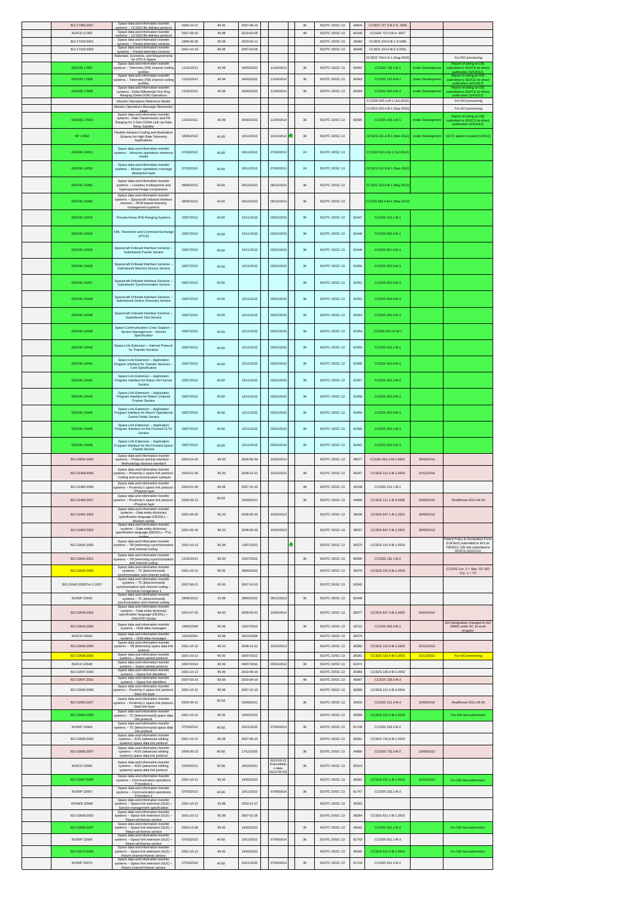| ISO 17355:2007            | Space data and information transfer<br>stems -- CCSDS file delivery protocol                                       | 2005-10-27 | 90.92 | 2007-08-10 |                      | 36            | ISO/TC 20/SC 13        | 43829 | CCSDS 727.0-B-3 S: 2005    |                         |                                                                                     |
|---------------------------|--------------------------------------------------------------------------------------------------------------------|------------|-------|------------|----------------------|---------------|------------------------|-------|----------------------------|-------------------------|-------------------------------------------------------------------------------------|
| ISO/CD 17355              | Space data and information transfer<br>ems -- CCSDS file delivery protoco                                          | 2007-08-10 | 30.98 | 2010-03-05 |                      | 48            | ISO/TC 20/SC 13        | 50246 | CCSDS 727.0-B-4: 2007      |                         |                                                                                     |
| ISO 17433:2001            | Space data and information transfer<br>systems -- Packet telemetry services                                        | 1998-06-30 | 95.99 | 2003-02-11 |                      |               | ISO/TC 20/SC 13        | 28460 | CCSDS 103.0-B-1 S:1996     |                         |                                                                                     |
| ISO 17433:2003            | Space data and information transfer<br>systems -- Packet telemetry services                                        | 2001-10-19 | 95.99 | 2007-03-05 |                      |               | ISO/TC 20/SC 13        | 36448 | CCSDS 103.0-B-2 S:2001     |                         |                                                                                     |
|                           | Rationale, Scenarios, and Requirements<br>for DTN in Space                                                         |            |       |            |                      |               |                        |       | CCSDS 734.0-G-1 (Aug 2010) |                         | For ISO processing                                                                  |
| <b>ISQDIS 17807</b>       | Space data and information transfer<br>systems -- Telemetry (TM) channel coding                                    | 11/10/2011 | 40.99 | 04/05/2012 | 11/04/2014           | 36            | ISO/TC 20/SC 13        | 60592 | CCSDS 735.1-B-1            | <b>Under Developr</b>   | Report o<br>submitted to ISO/CS for direct                                          |
| <b>ISO/DIS 17808</b>      | profiles<br>Space data and information transfer<br>systems -- Telemetry (TM) channel coding                        | 11/10/2011 | 40.99 | 04/05/2012 | 11/04/201            | 36            | ISO/TC 20/SC 13        | 60593 | CCSDS 131.4-M-1            | <b>Under Develop</b>    | publication (5/4/2012)<br>Report of voting on DIS<br>submitted to ISO/CS for direct |
|                           | prof<br>Space data and information transfer                                                                        |            |       |            |                      |               |                        |       |                            |                         | publication (5/4/2012)<br>Report of voting on DIS<br>submitted to ISO/CS for direct |
| <b>ISO/DIS 17809</b>      | systems - Delta-Differential One Way<br>Ranging (Delta-DOR) Operations                                             | 11/10/2011 | 40.99 | 04/05/2012 | 11/04/2014           | 36            | ISO/TC 20/SC 13        | 60594 | CCSDS 506.0-M-1            | <b>Under Developr</b>   | publication (5/4/2012)                                                              |
|                           | Mission Operations Reference Model<br>Mission Operations Message Abstraction                                       |            |       |            |                      |               |                        |       | CCSDS 520.1-M-1 (Jul 2010) |                         | For ISO processing                                                                  |
|                           | Laver<br>Space data and information transfer<br>systems - Data Transmission and PN                                 |            |       |            |                      |               |                        |       | CCSDS 520.0-B-1 (Sep 2010) |                         | For ISO processing                                                                  |
| <b>ISO/DIS 17810</b>      | Ranging for 2 GHz CDMA Link via Data                                                                               | 11/10/2011 | 40.99 | 04/05/2012 | 11/04/2014           | 36            | ISO/TC 20/SC 13        | 60595 | CCSDS 415.1-B-1            | <b>Under Developmen</b> | Report of voting on DIS<br>submitted to ISO/CS for direct<br>publication (5/4/2012) |
|                           | <b>Relay Satellite</b><br>Flexible Advance Coding and Modulation                                                   |            |       |            |                      |               |                        |       |                            |                         |                                                                                     |
| <b>NP 17854</b>           | Scheme for High Rate Telemetry<br>Applications                                                                     | 16/05/2012 | 40.60 | 14/12/2012 | 16/11/2014           | 36            | ISO/TC 20/SC 13        |       | CCSDS 131.2-B-1 (Mar 2012) | <b>Under Developmen</b> | SCCC patent resolved (1/2012)                                                       |
| <b>ISO/DIS 18201</b>      | Space data and information transfer                                                                                | 07/03/2012 |       | 03/11/2012 | 07/09/2013           | 24            | ISO/TC 20/SC 13        |       | CCSDS 520 1-M-1 (Jul 2010) |                         |                                                                                     |
|                           | systems -- Missions operations reference<br>model                                                                  |            | 40.60 |            |                      |               |                        |       |                            |                         |                                                                                     |
| <b>ISO/DIS 18202</b>      | Space data and information transfer<br>systems -- Mission operations message                                       | 07/03/2012 | 40.60 | 03/11/2012 | 07/09/2013           | $\mathbf{24}$ | ISO/TC 20/SC 13        |       | CCSDS 521.0-B-1 (Sep 2010) |                         |                                                                                     |
|                           | abstraction layer                                                                                                  |            |       |            |                      |               |                        |       |                            |                         |                                                                                     |
| <b>ISO/DIS 18381</b>      | Space data and information transfer<br>systems -- Lossless multispectral and<br>hyperspectral image compression    | 08/06/2012 | 40.60 | 04/12/2012 | 08/12/2014           | 36            | ISO/TC 20/SC 13        |       | CCSDS 123.0-B-1 (May 2012  |                         |                                                                                     |
|                           | Space data and information transfer                                                                                |            |       |            |                      |               |                        |       |                            |                         |                                                                                     |
| <b>ISO/DIS 18382</b>      | systems -- Spacecraft onboard interface<br>services -- RFID-based inventory<br>management systems                  | 08/06/2012 | 40.60 | 04/12/2012 | 08/12/201            | 36            | ISO/TC 20/SC 13        |       | CSDS 882.0-M-1 (May 2012)  |                         |                                                                                     |
| <b>ISO/DIS 18423</b>      | Pseudo-Noise (PN) Ranging Systems                                                                                  | 03/07/2012 | 40.60 | 12/11/2012 | 03/01/2015           | 36            | ISO/TC 20/SC 13        | 62447 | CCSDS 414.1-B-1            |                         |                                                                                     |
|                           |                                                                                                                    |            |       |            |                      |               |                        |       |                            |                         |                                                                                     |
| <b>ISO/DIS 18424</b>      | XML Telemetric and Command Exchange<br>(XTCE)                                                                      | 03/07/2012 | 40.60 | 12/11/2012 | 03/01/2015           | 36            | ISO/TC 20/SC 13        | 62448 | CCSDS 660.0-B-1            |                         |                                                                                     |
|                           |                                                                                                                    |            |       |            |                      |               |                        |       |                            |                         |                                                                                     |
| <b>ISQDIS 18425</b>       | Spacecraft Onboard Interface Services<br>Subnetwork Packet Service                                                 | 03/07/2012 | 40.60 | 12/11/2012 | 03/01/2015           | 36            | ISO/TC 20/SC 13        | 62449 | CCSDS 851.0-M-1            |                         |                                                                                     |
|                           | Snacecraft Onboard Interface Services                                                                              |            |       |            |                      |               |                        |       |                            |                         |                                                                                     |
| <b>ISO/DIS 18426</b>      | Subnetwork Memory Access Service                                                                                   | 03/07/2012 | 40.60 | 12/11/2012 | 03/01/2015           | 36            | ISO/TC 20/SC 13        | 62450 | CCSDS 852.0-M-1            |                         |                                                                                     |
| <b>ISO/DIS 18427</b>      | Spacecraft Onboard Interface Services                                                                              | 03/07/2012 | 40.60 |            |                      | 36            | ISO/TC 20/SC 13        | 62451 | CCSDS 852.0-M-1            |                         |                                                                                     |
|                           | Subnetwork Synchronization Service                                                                                 |            |       |            |                      |               |                        |       |                            |                         |                                                                                     |
| <b>ISO/DIS 18428</b>      | Spacecraft Onboard Interface Services<br>Subnetwork Device Discovery Service                                       | 03/07/2012 | 40.60 | 12/11/2012 | 03/01/2015           | 36            | ISO/TC 20/SC 13        | 62452 | CCSDS 854.0-M-1            |                         |                                                                                     |
|                           |                                                                                                                    |            |       |            |                      |               |                        |       |                            |                         |                                                                                     |
| <b>ISO/DIS 18438</b>      | Spacecraft Onboard Interface Services<br>Subnetwork Test Service                                                   | 03/07/2012 | 40.60 | 12/11/2012 | 03/01/2015           | 36            | ISO/TC 20/SC 13        | 62453 | CCSDS 855.0-M-1            |                         |                                                                                     |
|                           | Space Communication Cross Support                                                                                  |            |       |            |                      |               |                        |       |                            |                         |                                                                                     |
| <b>ISO/DIS 18439</b>      | Service Management -- Service<br>Specification                                                                     | 03/07/2012 | 40.60 | 12/11/2012 | 03/01/2015           | 36            | ISO/TC 20/SC 13        | 62454 | CCSDS 910.11-M-1           |                         |                                                                                     |
| <b>ISO/DIS 18440</b>      | Space Link Extension -- Internet Protocol                                                                          | 03/07/2012 | 40.60 | 12/11/2012 | 03/01/2015           | 36            | ISO/TC 20/SC 13        | 62455 | CCSDS 913.1-B-1            |                         |                                                                                     |
|                           | for Transfer Services                                                                                              |            |       |            |                      |               |                        |       |                            |                         |                                                                                     |
| <b>ISO/DIS 18441</b>      | Space Link Extension -- Application<br>Program Interface for Transfer Services<br>Core Specification               | 03/07/2012 | 40.60 | 12/11/2012 | 03/01/2015           | 36            | ISO/TC 20/SC 13        | 62456 | CCSDS 914.0-M-1            |                         |                                                                                     |
|                           | Space Link Extension -- Application                                                                                |            |       |            |                      |               |                        |       |                            |                         |                                                                                     |
| <b>ISO/DIS 18442</b>      | Program Interface for Return All Frames<br>Service                                                                 | 03/07/2012 | 40.60 | 12/11/2012 | 03/01/2015           | 36            | ISO/TC 20/SC 13        | 62457 | CCSDS 915.1-M-1            |                         |                                                                                     |
| <b>ISO/DIS 18443</b>      | Space Link Extension -- Application                                                                                | 03/07/2012 |       | 12/11/2012 | 03/01/2015           | 36            | ISO/TC 20/SC 13        | 62458 | CCSDS 915.2-M-1            |                         |                                                                                     |
|                           | Program Interface for Return Channel<br>Frames Service                                                             |            | 40.60 |            |                      |               |                        |       |                            |                         |                                                                                     |
| <b>ISO/DIS 18444</b>      | Space Link Extension -- Application<br>Program Interface for Return Operational                                    | 03/07/2012 | 40.60 | 12/11/2012 | 03/01/2015           | 36            | ISO/TC 20/SC 13        | 62459 | CCSDS 915.5-M-1            |                         |                                                                                     |
|                           | Control Fields Service                                                                                             |            |       |            |                      |               |                        |       |                            |                         |                                                                                     |
| <b>ISO/DIS 18445</b>      | Space Link Extension -- Application<br>Program Interface for the Forward CLTU<br>Service                           | 03/07/2012 | 40.60 | 12/11/2012 | 03/01/2015           | 36            | ISO/TC 20/SC 13        | 62460 | CCSDS 916.1-M-1            |                         |                                                                                     |
|                           | Space Link Extension -- Application                                                                                |            |       |            |                      |               |                        |       |                            |                         |                                                                                     |
| <b>ISO/DIS 18446</b>      | Program Interface for the Forward Space<br>Packet Service                                                          | 03/07/2012 | 40.60 | 12/11/2012 | 03/01/2015           | 36            | ISO/TC 20/SC 13        | 62461 | CCSDS 916.3-M-1            |                         |                                                                                     |
| ISO 20652:2006            | Space data and information transfer<br>systems -- Producer-archive interface -                                     | 2003-04-10 | 90.93 | 2009-06-30 | 15/04/2014           |               | ISO/TC 20/SC 13        | 39577 | CCSDS 651.0-M-1:2004       | 30/06/2014              |                                                                                     |
|                           | Methodology abstract standard<br>Space data and information transfer                                               |            |       |            |                      |               |                        |       |                            |                         |                                                                                     |
| ISO 21459:2006            | vstems -- Proximity-1 space link protocol<br>Coding and synchronization sublayer                                   | 2004-01-09 | 90.93 | 2009-12-31 | 15/10/2014           | 48            | ISO/TC 20/SC 13        | 40247 | CCSDS 211.2-B-1:2003       | 31/12/2014              |                                                                                     |
| ISO 21460:2006            | Space data and information transfer<br>ystems -- Proximity-1 space link protocol                                   | 2004-01-09 | 95.99 | 2007-10-10 |                      | 48            | ISO/TC 20/SC 13        | 40248 | CCSDS 211.1-B-1            |                         |                                                                                     |
| ISO 21460:2007            | - Physical layer<br>Space data and information transfer<br>tems -- Proximity-1 space link protoco                  | 2006-09-12 | 90.93 | 20/09/2011 |                      | $_{\rm 36}$   | ISO/TC 20/SC 13        | 44999 | CCSDS 211.1-B-3:2006       | 20/09/2016              | Reaffirmed 2011-09-20                                                               |
|                           | Physical layer<br>Space data and information transfer                                                              |            |       |            |                      |               |                        |       |                            |                         |                                                                                     |
| ISO 21961:2003            | systems -- Data entity dictional<br>specification language (DEDSL) --                                              | 2001-06-29 | 90.20 | 2008-06-30 | 15/04/2013           |               | ISO/TC 20/SC 13        | 36036 | CCSDS 647.1-B-1:2001       | 30/06/2013              |                                                                                     |
|                           | Abstract syntax<br>Space data and information transfer                                                             |            |       |            |                      |               |                        |       |                            |                         |                                                                                     |
| ISO 21982-2003            | systems -- Data entity dictional<br>specification language (DEDSL) -- PVL                                          | 2001-08-29 | 90.20 | 2008-06-30 | 15/04/2013           |               | ISO/TC 20/SC 13        | 36037 | CCSDS 647 2-B-1:2001       | 30/06/2013              |                                                                                     |
| ISO 22641:2005            | Space data and information transfer<br>ystems -- TM (telemetry) synchronizatio                                     | 2001-10-12 | 95.99 | 13/07/2012 |                      |               | ISO/TC 20/SC 13        | 36375 | CCSDS 131.0-B-1:2003       |                         | atent Policy & Declaration Form<br>(CalTech) submitted to ISO on                    |
|                           | and channel coding<br>Space data and information transfer                                                          |            |       |            |                      |               |                        |       |                            |                         | 7/8/2011; DIS text submitted to<br>ISO/CS (10/11/11)                                |
| ISO 22641:2012            | stems -- TM (telemetry) synchronization<br>and channel coding                                                      | 11/10/2011 | 60.60 | 13/07/2012 |                      | 36            | ISO/TC 20/SC 13        | 60590 | CCSDS 131.1-B-2            |                         |                                                                                     |
| ISO 22642:2005            | Space data and information transfer<br>systems -- TC (telecommand)                                                 | 2001-10-12 | 90.92 | 28/06/2012 |                      |               | ISO/TC 20/SC 13        | 36376 | CCSDS 231.0-B-1:2003       |                         | CCSDS Cor. 1 = Sep. '03; ISO<br>$Cor. 1 = 07$                                       |
|                           | ehronization and channel codin<br>Space data and information transfer<br>systems - TC (telecommand)                |            |       |            |                      |               |                        |       |                            |                         |                                                                                     |
| ISO 22642:2005/Cor 1:2007 | synchronization and channel coding -                                                                               | 2007-08-21 | 60.60 | 2007-10-03 |                      |               | ISO/TC 20/SC 13        | 50342 |                            |                         |                                                                                     |
| <b>ISO/NP 22642</b>       | Technical Corrigendum 1<br>Space data and information transfer<br>systems -- TC (telecommand)                      | 28/06/2012 | 10.99 | 28/06/2012 | 28/12/2013           | 36            | ISO/TC 20/SC 13        | 62446 |                            |                         |                                                                                     |
|                           | synchronization and channel coding<br>Space data and information transfer<br>systems -- Data entity dictionary     |            |       |            |                      |               |                        |       |                            |                         |                                                                                     |
| ISO 22643:2003            | specification language (DEDSL) --<br>XML/DTD Syntax                                                                | 2001-07-20 | 90.93 | 2009-04-01 | 15/04/2014           |               | ISO/TC 20/SC 13        | 36377 | CCSDS 647.3-B-1:2002       | 01/04/2014              |                                                                                     |
| ISO 22644:2006            | Space data and information transfer<br>systems -- Orbit data messages                                              | 19/05/2006 | 95.99 | 13/07/2012 |                      | $_{\rm 36}$   | ISO/TC 20/SC 13        | 42722 | CCSDS 502.0-B-1            |                         | SO designation changed to ISO<br>26900 under SC 14 work                             |
| ISO/CD 22644              | Space data and information transfer<br>systems -- Orbit data messages                                              | 12/10/2001 | 30.98 | 03/11/2004 |                      |               | ISO/TC 20/SC 13        | 36379 |                            |                         |                                                                                     |
| ISO 22645:2005            | Space data and information transfer<br>systems -- TM (telemetry) space data link                                   | 2001-10-12 | 90.20 | 2008-12-31 | 15/10/2013           |               | ISO/TC 20/SC 13        | 36380 | CCSDS 132.0-B-1:2003       | 31/12/2013              |                                                                                     |
| ISO 22646:2005            | protocol<br>Space data and information transfer                                                                    | 2001-10-12 | 90.92 | 03/07/2012 |                      |               | ISO/TC 20/SC 13        | 36381 | CCSDS 133.0-B-1:2003       | 31/12/3013              | For ISO processing                                                                  |
| ISO/CD 22646              | systems -- Space packet protocol<br>Space data and information transfer<br>systems - Space packet protocol         | 03/07/2012 | 30.99 | 03/07/2012 | 03/01/2014           | 36            | ISO/TC 20/SC 13        | 62471 |                            |                         |                                                                                     |
| ISO 22647:2006            | Space data and information transfer<br>systems -- Space link identifiers                                           | 2001-10-12 | 95.99 | 2010-09-10 |                      |               | ISO/TC 20/SC 13        | 36383 | CCSDS 135.0-B-1:2002       |                         |                                                                                     |
| ISO 22647:2010            | Space data and information transfer<br>systems -- Space link identifiers<br>Space data and information transfer    | 2007-03-14 | 60.60 | 2010-09-10 |                      | 48            | ISO/TC 20/SC 13        | 45987 | CCSDS 135.0-B-3            |                         |                                                                                     |
| ISO 22663:2006            | stems -- Proximity-1 space link protoco<br>- Data link layer                                                       | 2001-10-12 | 95.99 | 2007-10-10 |                      |               | ISO/TC 20/SC 13        | 36386 | CCSDS 211.0-B-3:2004       |                         |                                                                                     |
| ISO 22663:2007            | Space data and information transfer<br>stems -- Proximity-1 space link protocol                                    | 2006-09-12 | 90.93 | 20/09/2011 |                      | 36            | ISO/TC 20/SC 13        | 45000 | CCSDS 211.0-B-4            | 20/09/2016              | Reaffirmed 2011-09-20                                                               |
| ISO 22664:2005            | - Data link layer<br>Space data and information transfer                                                           | 2001-10-12 | 90.92 | 14/03/2012 |                      |               | ISO/TC 20/SC 13        | 36389 | CCSDS 232.0-B-1:2003       |                         | For DIS text submission                                                             |
|                           | systems -- TC (telecommand) space data<br>link protocol<br>Space data and information transfer                     |            |       |            |                      |               |                        |       |                            |                         |                                                                                     |
| <b>ISO/NP 22664</b>       | systems -- TC (telecommand) space data<br>link protocol                                                            | 07/03/2012 | 40.60 | 10/11/2012 | 07/09/2014           | 36            | ISO/TC 20/SC 13        | 61746 | CCSDS 232.0-B-2            |                         |                                                                                     |
| ISO 22666:2005            | Space data and information transfer<br>systems -- AOS (advanced orbiting<br>systems) space data link protoco       | 2001-10-12 | 95.99 | 2007-08-15 |                      |               | ISO/TC 20/SC 13        | 36391 | CCSDS 732.0-B-1:2003       |                         |                                                                                     |
| ISO 22666:2007            | Space data and information transfer<br>systems -- AOS (advanced orbiting                                           | 2006-06-23 | 90.60 | 17/12/2010 |                      | 36            | ISO/TC 20/SC 13        | 44866 | CCSDS 732.0-B-2            | 15/08/2012              |                                                                                     |
|                           | systems) space data link protocol<br>Space data and information transfer                                           |            |       |            | 2013-03-22           |               |                        |       |                            |                         |                                                                                     |
| ISO/CD 22666              | systems -- AOS (advanced orbiting                                                                                  | 22/09/2011 | 30.98 | 18/10/2011 | Cancellat<br>n date: | 36            | ISO/TC 20/SC 13        | 60519 |                            |                         |                                                                                     |
|                           | systems) space data link protocol                                                                                  |            |       | 14/03/2012 | 13-09-               |               | ISO/TC 20/SC 13        | 36392 | CCSDS 232.1-B-1:2003       | 31/12/2013              | For DIS text submission                                                             |
| ISO 22667:2005            | Space data and information transfer                                                                                |            |       |            |                      |               |                        |       |                            |                         |                                                                                     |
|                           | systems - Communication operations<br>Procedure-1<br>Space data and information transfer                           | 2001-10-12 | 90.92 |            |                      |               |                        |       |                            |                         |                                                                                     |
| <b>ISO/NP 22667</b>       | systems - Communication operations<br>Procedure-1                                                                  | 07/03/2012 | 40.60 | 10/11/2012 | 07/09/2014           | 36            | ISO/TC 20/SC 13        | 61747 | CCSDS 232.1-B-2            |                         |                                                                                     |
| <b>ISO/WD 22668</b>       | Space data and information transfer<br>systems -- Space link extension (SLE) -<br>Service management specification | 2001-10-12 | 20.98 | 2003-11-07 |                      |               | ISO/TC 20/SC 13        | 36393 |                            |                         |                                                                                     |
| ISO 22669:2003            | Space data and information transfer<br>systems -- Space link extension (SLE) --                                    | 2001-10-12 | 95.99 | 2007-01-26 |                      |               | ISO/TC 20/SC 13        | 36394 | CCSDS 911.1-B-1:2002       |                         |                                                                                     |
| ISO 22669:2007            | Return-all-frames servic<br>Space data and information transfer                                                    | 2004-12-08 | 90.92 | 14/03/2012 |                      | 36            |                        | 43442 | CCSDS 911.1-B-2            |                         |                                                                                     |
|                           | systems -- Space link extension (SLE) -<br>Return-all-frames service<br>Space data and information transfer        |            |       |            |                      |               | ISO/TC 20/SC 13        |       |                            |                         | For DIS text submission                                                             |
| <b>ISO/NP 22669</b>       | systems -- Space link extension (SLE) -                                                                            | 07/03/2012 | 40.60 | 10/11/2012 | 07/09/2014           | 36            | ISO/TC 20/SC 13        | 61743 | CCSDS 911.1-B-3            |                         |                                                                                     |
| ISO 22670:2006            | Return-all-frames service<br>Space data and information transfe<br>systems -- Space link extension (SLE) -         | 2001-10-12 | 90.92 | 14/03/2012 |                      |               | <b>ISO/TC 20/SC 13</b> | 36395 | CCSDS 911.2-B-1:2004       |                         | For DIS text submission                                                             |
| <b>ISO/NP 22670</b>       | Return-channel-frames service<br>Snace data and information transfer<br>systems -- Space link extension (SLE) --   | 07/03/2012 | 40.60 | 10/11/2012 | 07/09/201            | 36            | ISO/TC 20/SC 13        | 61744 | CCSDS 911.2-B-2            |                         |                                                                                     |